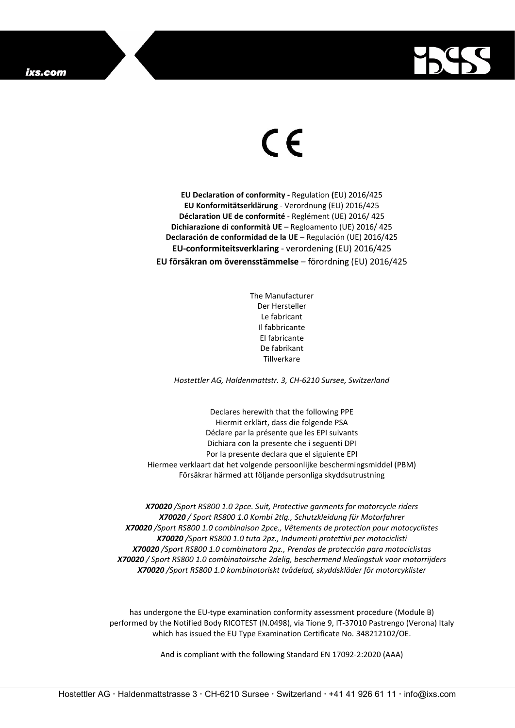

## $\in$

**EU Declaration of conformity -** Regulation **(**EU) 2016/425 **EU Konformitätserklärung** - Verordnung (EU) 2016/425 **Déclaration UE de conformité** - Reglément (UE) 2016/ 425 **Dichiarazione di conformità UE** – Regloamento (UE) 2016/ 425 **Declaración de conformidad de la UE** – Regulación (UE) 2016/425 **EU-conformiteitsverklaring** - verordening (EU) 2016/425 **EU försäkran om överensstämmelse** – förordning (EU) 2016/425

> The Manufacturer Der Hersteller Le fabricant Il fabbricante El fabricante De fabrikant Tillverkare

*Hostettler AG, Haldenmattstr. 3, CH-6210 Sursee, Switzerland*

Declares herewith that the following PPE Hiermit erklärt, dass die folgende PSA Déclare par la présente que les EPI suivants Dichiara con la presente che i seguenti DPI Por la presente declara que el siguiente EPI Hiermee verklaart dat het volgende persoonlijke beschermingsmiddel (PBM) Försäkrar härmed att följande personliga skyddsutrustning

*X70020 /Sport RS800 1.0 2pce. Suit, Protective garments for motorcycle riders X70020 / Sport RS800 1.0 Kombi 2tlg., Schutzkleidung für Motorfahrer X70020 /Sport RS800 1.0 combinaison 2pce., Vêtements de protection pour motocyclistes X70020 /Sport RS800 1.0 tuta 2pz., Indumenti protettivi per motociclisti X70020 /Sport RS800 1.0 combinatora 2pz., Prendas de protección para motociclistas X70020 / Sport RS800 1.0 combinatoirsche 2delig, beschermend kledingstuk voor motorrijders X70020 /Sport RS800 1.0 kombinatoriskt tvådelad, skyddskläder för motorcyklister*

has undergone the EU-type examination conformity assessment procedure (Module B) performed by the Notified Body RICOTEST (N.0498), via Tione 9, IT-37010 Pastrengo (Verona) Italy which has issued the EU Type Examination Certificate No. 348212102/OE.

And is compliant with the following Standard EN 17092-2:2020 (AAA)